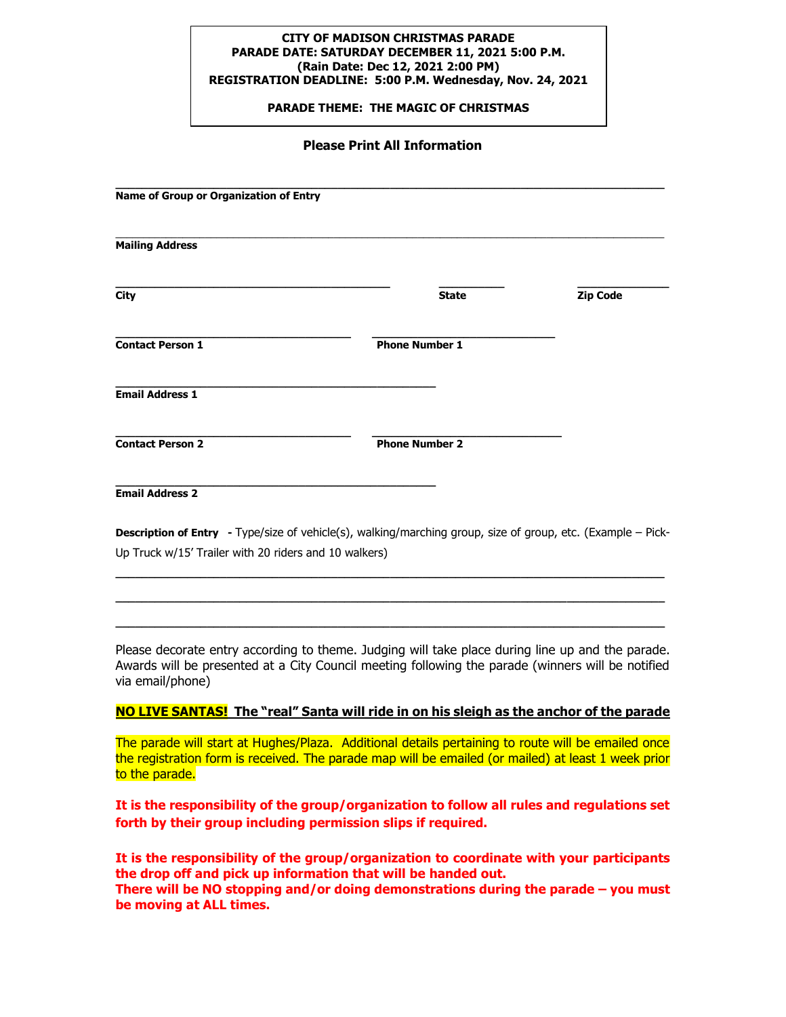#### **CITY OF MADISON CHRISTMAS PARADE PARADE DATE: SATURDAY DECEMBER 11, 2021 5:00 P.M. (Rain Date: Dec 12, 2021 2:00 PM) REGISTRATION DEADLINE: 5:00 P.M. Wednesday, Nov. 24, 2021**

 **PARADE THEME: THE MAGIC OF CHRISTMAS**

### **Please Print All Information**

| Name of Group or Organization of Entry |                       |          |
|----------------------------------------|-----------------------|----------|
| <b>Mailing Address</b>                 |                       |          |
| City                                   | <b>State</b>          | Zip Code |
| <b>Contact Person 1</b>                | <b>Phone Number 1</b> |          |
| <b>Email Address 1</b>                 |                       |          |
| <b>Contact Person 2</b>                | <b>Phone Number 2</b> |          |
| <b>Email Address 2</b>                 |                       |          |

**Description of Entry -** Type/size of vehicle(s), walking/marching group, size of group, etc. (Example – Pick-Up Truck w/15' Trailer with 20 riders and 10 walkers)

**\_\_\_\_\_\_\_\_\_\_\_\_\_\_\_\_\_\_\_\_\_\_\_\_\_\_\_\_\_\_\_\_\_\_\_\_\_\_\_\_\_\_\_\_\_\_\_\_\_\_\_\_\_\_\_\_\_\_\_\_\_\_\_\_\_\_\_\_\_\_\_\_\_\_\_\_\_\_\_\_\_\_\_\_ \_\_\_\_\_\_\_\_\_\_\_\_\_\_\_\_\_\_\_\_\_\_\_\_\_\_\_\_\_\_\_\_\_\_\_\_\_\_\_\_\_\_\_\_\_\_\_\_\_\_\_\_\_\_\_\_\_\_\_\_\_\_\_\_\_\_\_\_\_\_\_\_\_\_\_\_\_\_\_\_\_\_\_\_ \_\_\_\_\_\_\_\_\_\_\_\_\_\_\_\_\_\_\_\_\_\_\_\_\_\_\_\_\_\_\_\_\_\_\_\_\_\_\_\_\_\_\_\_\_\_\_\_\_\_\_\_\_\_\_\_\_\_\_\_\_\_\_\_\_\_\_\_\_\_\_\_\_\_\_\_\_\_\_\_\_\_\_\_**

Please decorate entry according to theme. Judging will take place during line up and the parade. Awards will be presented at a City Council meeting following the parade (winners will be notified via email/phone)

## **NO LIVE SANTAS! The "real" Santa will ride in on his sleigh as the anchor of the parade**

The parade will start at Hughes/Plaza. Additional details pertaining to route will be emailed once the registration form is received. The parade map will be emailed (or mailed) at least 1 week prior to the parade.

**It is the responsibility of the group/organization to follow all rules and regulations set forth by their group including permission slips if required.**

**It is the responsibility of the group/organization to coordinate with your participants the drop off and pick up information that will be handed out. There will be NO stopping and/or doing demonstrations during the parade – you must be moving at ALL times.**